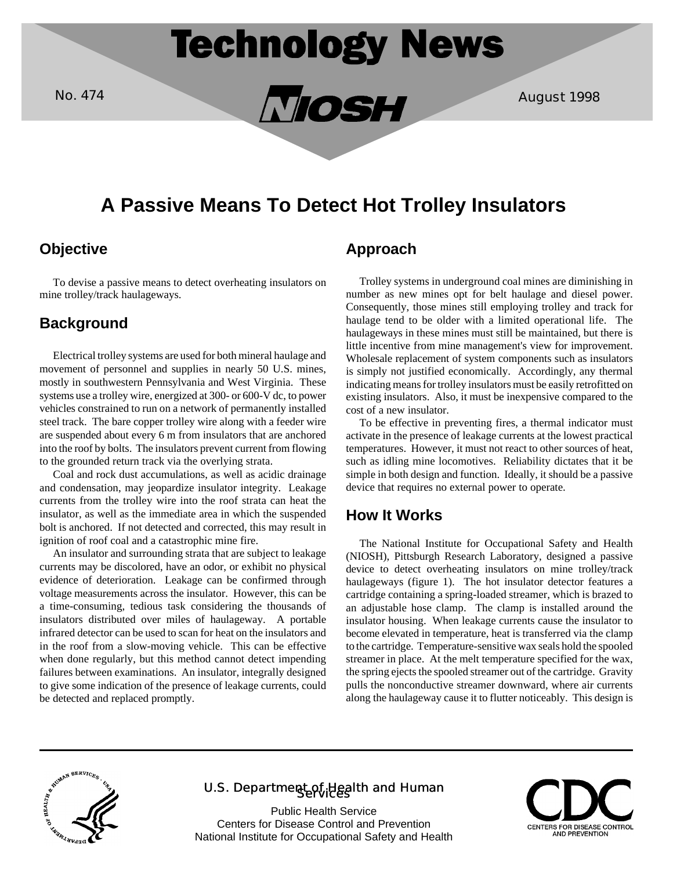

No. 474 August 1998

# **A Passive Means To Detect Hot Trolley Insulators**

# **Objective**

To devise a passive means to detect overheating insulators on mine trolley/track haulageways.

## **Background**

Electrical trolley systems are used for both mineral haulage and movement of personnel and supplies in nearly 50 U.S. mines, mostly in southwestern Pennsylvania and West Virginia. These systems use a trolley wire, energized at 300- or 600-V dc, to power vehicles constrained to run on a network of permanently installed steel track. The bare copper trolley wire along with a feeder wire are suspended about every 6 m from insulators that are anchored into the roof by bolts. The insulators prevent current from flowing to the grounded return track via the overlying strata.

Coal and rock dust accumulations, as well as acidic drainage and condensation, may jeopardize insulator integrity. Leakage currents from the trolley wire into the roof strata can heat the insulator, as well as the immediate area in which the suspended bolt is anchored. If not detected and corrected, this may result in ignition of roof coal and a catastrophic mine fire.

An insulator and surrounding strata that are subject to leakage currents may be discolored, have an odor, or exhibit no physical evidence of deterioration. Leakage can be confirmed through voltage measurements across the insulator. However, this can be a time-consuming, tedious task considering the thousands of insulators distributed over miles of haulageway. A portable infrared detector can be used to scan for heat on the insulators and in the roof from a slow-moving vehicle. This can be effective when done regularly, but this method cannot detect impending failures between examinations. An insulator, integrally designed to give some indication of the presence of leakage currents, could be detected and replaced promptly.

# **Approach**

Trolley systems in underground coal mines are diminishing in number as new mines opt for belt haulage and diesel power. Consequently, those mines still employing trolley and track for haulage tend to be older with a limited operational life. The haulageways in these mines must still be maintained, but there is little incentive from mine management's view for improvement. Wholesale replacement of system components such as insulators is simply not justified economically. Accordingly, any thermal indicating means for trolley insulators must be easily retrofitted on existing insulators. Also, it must be inexpensive compared to the cost of a new insulator.

To be effective in preventing fires, a thermal indicator must activate in the presence of leakage currents at the lowest practical temperatures. However, it must not react to other sources of heat, such as idling mine locomotives. Reliability dictates that it be simple in both design and function. Ideally, it should be a passive device that requires no external power to operate.

#### **How It Works**

The National Institute for Occupational Safety and Health (NIOSH), Pittsburgh Research Laboratory, designed a passive device to detect overheating insulators on mine trolley/track haulageways (figure 1). The hot insulator detector features a cartridge containing a spring-loaded streamer, which is brazed to an adjustable hose clamp. The clamp is installed around the insulator housing. When leakage currents cause the insulator to become elevated in temperature, heat is transferred via the clamp to the cartridge. Temperature-sensitive wax seals hold the spooled streamer in place. At the melt temperature specified for the wax, the spring ejects the spooled streamer out of the cartridge. Gravity pulls the nonconductive streamer downward, where air currents along the haulageway cause it to flutter noticeably. This design is



## U.S. Department of Health and Human

Public Health Service Centers for Disease Control and Prevention National Institute for Occupational Safety and Health